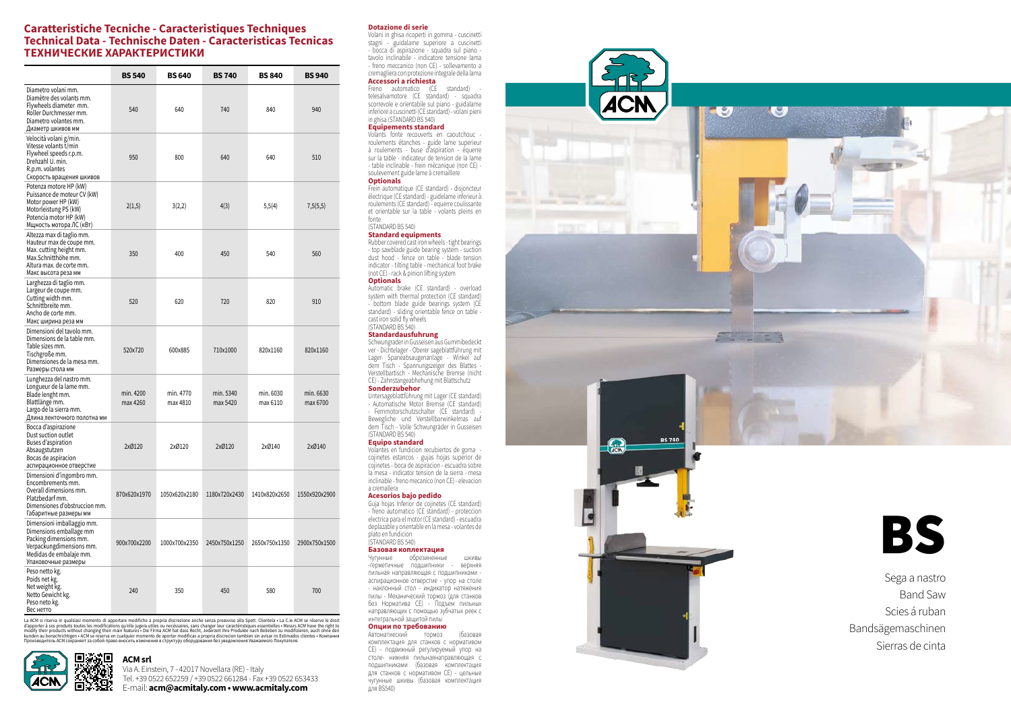|                                                                                                                                                               | <b>BS 540</b>         | <b>BS 640</b>         | <b>BS 740</b>         | <b>BS 840</b>         | <b>BS 940</b>         |
|---------------------------------------------------------------------------------------------------------------------------------------------------------------|-----------------------|-----------------------|-----------------------|-----------------------|-----------------------|
| Diametro volani mm.<br>Diamètre des volants mm.<br>Flywheels diameter mm.<br>Roller Durchmesser mm.<br>Diametro volantes mm.<br>Диаметр шкивов мм             | 540                   | 640                   | 740                   | 840                   | 940                   |
| Velocità volani g/min.<br>Vitesse volants t/min<br>Flywheel speeds r.p.m.<br>Drehzahl U. min.<br>R.p.m. volantes<br>Скорость вращения шкивов                  | 950                   | 800                   | 640                   | 640                   | 510                   |
| Potenza motore HP (kW)<br>Puissance de moteur CV (kW)<br>Motor power HP (kW)<br>Motorleistung PS (kW)<br>Potencia motor HP (kW)<br>Мщность мотора ЛС (кВт)    | 2(1,5)                | 3(2,2)                | 4(3)                  | 5,5(4)                | 7,5(5,5)              |
| Altezza max di taglio mm.<br>Hauteur max de coupe mm.<br>Max. cutting height mm.<br>Max.Schnitthöhe mm.<br>Altura max. de corte mm.<br>Макс высота реза мм    | 350                   | 400                   | 450                   | 540                   | 560                   |
| Larghezza di taglio mm.<br>Largeur de coupe mm.<br>Cutting width mm.<br>Schnittbreite mm.<br>Ancho de corte mm.<br>Макс ширина реза мм                        | 520                   | 620                   | 720                   | 820                   | 910                   |
| Dimensioni del tavolo mm.<br>Dimensions de la table mm.<br>Table sizes mm.<br>Tischgroße mm.<br>Dimensiones de la mesa mm.<br>Размеры стола мм                | 520x720               | 600x885               | 710x1000              | 820x1160              | 820x1160              |
| Lunghezza del nastro mm.<br>Longueur de la lame mm.<br>Blade lenght mm.<br>Blattlänge mm.<br>Largo de la sierra mm.<br>Длина ленточного полотна мм            | min. 4200<br>max 4260 | min. 4770<br>max 4810 | min. 5340<br>max 5420 | min. 6030<br>max 6110 | min. 6630<br>max 6700 |
| Bocca d'aspirazione<br>Dust suction outlet<br>Buses d'aspiration<br>Absaugstutzen<br>Bocas de aspiracion<br>аспирационное отверстие                           | 2xØ120                | 2xØ120                | 2xØ120                | 2xØ140                | 2xØ140                |
| Dimensioni d'ingombro mm.<br>Encombrements mm.<br>Overall dimensions mm.<br>Platzbedarf mm.<br>Dimensiones d'obstruccion mm.<br>Габаритные размеры мм         | 870x620x1970          | 1050x620x2180         | 1180x720x2430         | 1410x820x2650         | 1550x920x2900         |
| Dimensioni imballaggio mm.<br>Dimensions emballage mm<br>Packing dimensions mm.<br>Verpackungdimensions mm.<br>Medidas de embalaje mm.<br>Упаковочные размеры | 900x700x2200          | 1000x700x2350         | 2450x750x1250         | 2650x750x1350         | 2900x750x1500         |
| Peso netto kg.<br>Poids net kg.<br>Net weight kg.<br>Netto Gewicht kg.<br>Peso neto kg.<br>Вес нетто                                                          | 240                   | 350                   | 450                   | 580                   | 700                   |

La ACM si riserva in qualsiasi momento di apportare modifiche a propria discrezione and essente a chieffels - La C.ie ACM se réserve le droit discreption discreption of apportance and propriate a computation of apportance



# **Caratteristiche Tecniche - Caracteristiques Techniques Technical Data - Technische Daten - Caracteristicas Tecnicas ТЕХНИЧЕСКИЕ ХАРАКТЕРИСТИКИ**

# **ACM srl**

Via A. Einstein, 7 - 42017 Novellara (RE) - Italy Tel. +39 0522 652259 / +39 0522 661284 - Fax +39 0522 653433 E-mail: **acm@acmitaly.com • www.acmitaly.com** 

Untersageblattführung mit Lager (CE standard) - Automatische Motor Bremse (CE standard) - Fernmotorschutzschalter (CE standard)

## **Dotazione di serie**

Volani in ghisa ricoperti in gomma - cuscinetti stagni - guidalame superiore a cuscinetti - bocca di aspirazione - squadra sul piano tavolo inclinabile - indicatore tensione lama - freno meccanico (non CE) - sollevamento a cremagliera con protezione integrale della lama **Accessori a richiesta**

# Freno automatico (CE standard) -

telesalvamotore (CE standard) - squadra scorrevole e orientabile sul piano - guidalame inferiore a cuscinetti (CE standard) - volani pieni in ghisa (STANDARD BS 540)

#### **Equipements standard**

Volants fonte recouverts en caoutchouc roulements étanches - guide lame superieur à roulements - buse d'aspiration - équerre sur la table - indicateur de tension de la lame - table inclinable - frein mècanique (non CE) soulevement guide lame à cremaillere **Optionals**

Frein automatique (CE standard) - disjoncteur électrique (CE standard) - guidelame inferieur à roulements (CE standard) - equerre coulissante et orientable sur la table - volants pleins en fonte

#### (STANDARD BS 540) **Standard equipments**

Rubber covered cast iron wheels - tight bearings - top sawblade guide bearing system - suction dust hood - fence on table - blade tension indicator - tilting table - mechanical foot brake (not CE) - rack & pinion lifting system **Optionals**

Automatic brake (CE standard) - overload system with thermal protection (CE standard) - bottom blade guide bearings system (CE standard) - sliding orientable fence on table cast iron solid fly wheels (STANDARD BS 540)

#### **Standardausfuhrung**

Schwungrader in Gusseisen aus Gummibedeckt ver - Dichtelager - Oberer sageblattführung mit Lager- Spaneabsaugenanlage - Winkel auf dem Tisch - Spannungszeiger des Blattes - Verstellbartisch - Mechanische Bremse (nicht CE) - Zahnstangeabhehung mit Blattschutz **Sonderzubehor**

Bewegliche und Verstellbarwinkelmas auf dem Tisch - Volle Schwungräder in Gusseisen (STANDARD BS 540)

## **Equipo standard**

Volantes en fundicion recubiertos de goma cojinetes estancos - gujas hojas superior de cojinetes - boca de aspiracion - escuadra sobre la mesa - indicator tension de la sierra - mesa inclinable - freno mecanico (non CE) - elevacion a cremallera

# **Acesorios bajo pedido**

Guja hojas Inferior de cojinetes (CE standard) - freno automatico (CE standard) - proteccion electrica para el motor (CE standard) - escuadra deplazable y orientable en la mesa - volantes de plato en fundicion (STANDARD BS 540)

# **Базовая коплектация**

Чугунные обрезиненные шкивы

-герметичные подшипники - верхняя пильная направляющая с подшипниками аспирационное отверстие - упор на столе - наклонный стол - индикатор натяжения пилы - Механический тормоз (для станков без Норматива СЕ) - Подъем пильных направляющих с помощью зубчатых реек с интегральной защитой пилы

#### **Опции по требованию**

Автоматиеский тормоз (базовая комплектация для станков с нормативом СЕ) - подвижный регулируемый упор на столе- нижняя пильнаянаправляющая с подшипниками (базовая комплектация для станков с нормативом СЕ) - цельные чугунные шкивы (базовая комплектация для BS540)







Sega a nastro Band Saw Scies á ruban Bandsägemaschinen Sierras de cinta